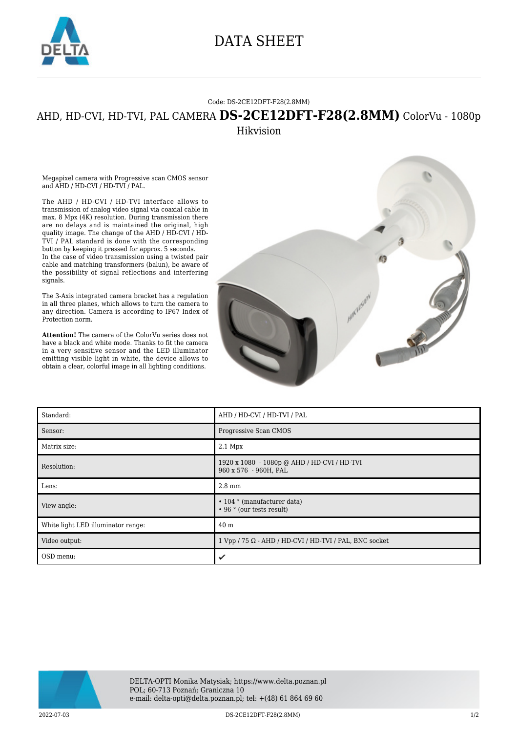

## DATA SHEET

## Code: DS-2CE12DFT-F28(2.8MM)

## AHD, HD-CVI, HD-TVI, PAL CAMERA **DS-2CE12DFT-F28(2.8MM)** ColorVu - 1080p Hikvision

Megapixel camera with Progressive scan CMOS sensor and AHD / HD-CVI / HD-TVI / PAL.

The AHD / HD-CVI / HD-TVI interface allows to transmission of analog video signal via coaxial cable in max. 8 Mpx (4K) resolution. During transmission there are no delays and is maintained the original, high quality image. The change of the AHD / HD-CVI / HD-TVI / PAL standard is done with the corresponding button by keeping it pressed for approx. 5 seconds. In the case of video transmission using a twisted pair cable and matching transformers (balun), be aware of the possibility of signal reflections and interfering signals.

The 3-Axis integrated camera bracket has a regulation in all three planes, which allows to turn the camera to any direction. Camera is according to IP67 Index of Protection norm.

**Attention!** The camera of the ColorVu series does not have a black and white mode. Thanks to fit the camera in a very sensitive sensor and the LED illuminator emitting visible light in white, the device allows to obtain a clear, colorful image in all lighting conditions.



| Standard:                          | AHD / HD-CVI / HD-TVI / PAL                                          |
|------------------------------------|----------------------------------------------------------------------|
| Sensor:                            | Progressive Scan CMOS                                                |
| Matrix size:                       | $2.1$ Mpx                                                            |
| Resolution:                        | 1920 x 1080 - 1080p @ AHD / HD-CVI / HD-TVI<br>960 x 576 - 960H, PAL |
| Lens:                              | $2.8 \text{ mm}$                                                     |
| View angle:                        | $\cdot$ 104 $\circ$ (manufacturer data)<br>• 96 ° (our tests result) |
| White light LED illuminator range: | 40 <sub>m</sub>                                                      |
| Video output:                      | $1 Vpp / 75 \Omega$ - AHD / HD-CVI / HD-TVI / PAL, BNC socket        |
| OSD menu:                          | ✓                                                                    |